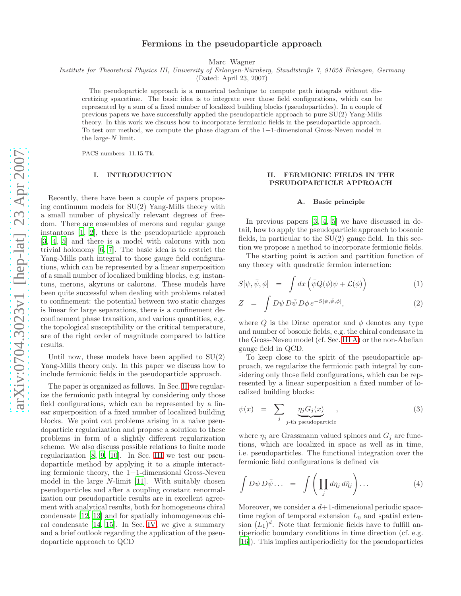# Fermions in the pseudoparticle approach

Marc Wagner

Institute for Theoretical Physics III, University of Erlangen-Nürnberg, Staudtstraße 7, 91058 Erlangen, Germany

(Dated: April 23, 2007)

The pseudoparticle approach is a numerical technique to compute path integrals without discretizing spacetime. The basic idea is to integrate over those field configurations, which can be represented by a sum of a fixed number of localized building blocks (pseudoparticles). In a couple of previous papers we have successfully applied the pseudoparticle approach to pure SU(2) Yang-Mills theory. In this work we discuss how to incorporate fermionic fields in the pseudoparticle approach. To test our method, we compute the phase diagram of the 1+1-dimensional Gross-Neveu model in the large- $N$  limit.

PACS numbers: 11.15.Tk.

### I. INTRODUCTION

Recently, there have been a couple of papers proposing continuum models for SU(2) Yang-Mills theory with a small number of physically relevant degrees of freedom. There are ensembles of merons and regular gauge instantons [\[1](#page-9-0), [2](#page-9-1)], there is the pseudoparticle approach [\[3,](#page-10-0) [4,](#page-10-1) [5](#page-10-2)] and there is a model with calorons with non trivial holonomy [\[6,](#page-10-3) [7](#page-10-4)]. The basic idea is to restrict the Yang-Mills path integral to those gauge field configurations, which can be represented by a linear superposition of a small number of localized building blocks, e.g. instantons, merons, akyrons or calorons. These models have been quite successful when dealing with problems related to confinement: the potential between two static charges is linear for large separations, there is a confinement deconfinement phase transition, and various quantities, e.g. the topological susceptibility or the critical temperature, are of the right order of magnitude compared to lattice results.

Until now, these models have been applied to  $SU(2)$ Yang-Mills theory only. In this paper we discuss how to include fermionic fields in the pseudoparticle approach.

The paper is organized as follows. In Sec. [II](#page-0-0) we regularize the fermionic path integral by considering only those field configurations, which can be represented by a linear superposition of a fixed number of localized building blocks. We point out problems arising in a naive pseudoparticle regularization and propose a solution to these problems in form of a slightly different regularization scheme. We also discuss possible relations to finite mode regularization [\[8](#page-10-5), [9,](#page-10-6) [10](#page-10-7)]. In Sec. [III](#page-5-0) we test our pseudoparticle method by applying it to a simple interacting fermionic theory, the 1+1-dimensional Gross-Neveu model in the large N-limit [\[11](#page-10-8)]. With suitably chosen pseudoparticles and after a coupling constant renormalization our pseudoparticle results are in excellent agreement with analytical results, both for homogeneous chiral condensate [\[12,](#page-10-9) [13\]](#page-10-10) and for spatially inhomogeneous chiral condensate [\[14,](#page-10-11) [15\]](#page-10-12). In Sec. [IV,](#page-8-0) we give a summary and a brief outlook regarding the application of the pseudoparticle approach to QCD

## <span id="page-0-0"></span>II. FERMIONIC FIELDS IN THE PSEUDOPARTICLE APPROACH

#### A. Basic principle

In previous papers [\[3](#page-10-0), [4,](#page-10-1) [5\]](#page-10-2) we have discussed in detail, how to apply the pseudoparticle approach to bosonic fields, in particular to the  $SU(2)$  gauge field. In this section we propose a method to incorporate fermionic fields.

The starting point is action and partition function of any theory with quadratic fermion interaction:

$$
S[\psi, \bar{\psi}, \phi] = \int dx \left( \bar{\psi} Q(\phi) \psi + \mathcal{L}(\phi) \right) \tag{1}
$$

$$
Z = \int D\psi \, D\bar{\psi} \, D\phi \, e^{-S[\psi,\bar{\psi},\phi]}, \tag{2}
$$

where Q is the Dirac operator and  $\phi$  denotes any type and number of bosonic fields, e.g. the chiral condensate in the Gross-Neveu model (cf. Sec. [III A\)](#page-5-1) or the non-Abelian gauge field in QCD.

To keep close to the spirit of the pseudoparticle approach, we regularize the fermionic path integral by considering only those field configurations, which can be represented by a linear superposition a fixed number of localized building blocks:

$$
\psi(x) = \sum_{j} \underbrace{\eta_j G_j(x)}_{j \text{-th pseudoparticle}}, \tag{3}
$$

where  $\eta_i$  are Grassmann valued spinors and  $G_i$  are functions, which are localized in space as well as in time, i.e. pseudoparticles. The functional integration over the fermionic field configurations is defined via

$$
\int D\psi D\bar{\psi} \dots = \int \left( \prod_j d\eta_j d\bar{\eta}_j \right) \dots \tag{4}
$$

Moreover, we consider a  $d+1$ -dimensional periodic spacetime region of temporal extension  $L_0$  and spatial extension  $(L_1)^d$ . Note that fermionic fields have to fulfill antiperiodic boundary conditions in time direction (cf. e.g. [\[16\]](#page-10-13)). This implies antiperiodicity for the pseudoparticles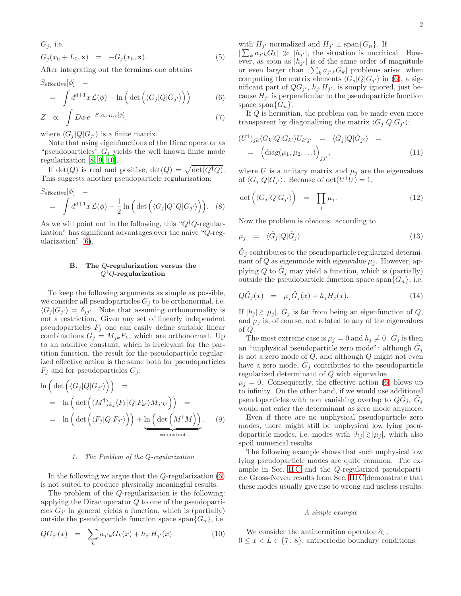$$
G_j
$$
, i.e.  
\n $G_j(x_0 + L_0, \mathbf{x}) = -G_j(x_0, \mathbf{x}).$  (5)

After integrating out the fermions one obtains

<span id="page-1-0"></span>
$$
S_{\text{effective}}[\phi] =
$$
  
=  $\int d^{d+1}x \mathcal{L}(\phi) - \ln\left(\det\left(\langle G_j|Q|G_{j'}\rangle\right)\right)$  (6)

$$
Z \propto \int D\phi \, e^{-S_{\text{effective}}[\phi]}, \tag{7}
$$

where  $\langle G_j | Q | G_{j'} \rangle$  is a finite matrix.

Note that using eigenfunctions of the Dirac operator as "pseudoparticles"  $G_j$  yields the well known finite mode regularization [\[8,](#page-10-5) [9,](#page-10-6) [10](#page-10-7)].

If  $\det(Q)$  is real and positive,  $\det(Q) = \sqrt{\det(Q^{\dagger}Q)}$ . This suggests another pseudoparticle regularization:

<span id="page-1-2"></span>
$$
S_{\text{effective}}[\phi] =
$$
  
=  $\int d^{d+1}x \mathcal{L}(\phi) - \frac{1}{2} \ln \left( \det \left( \langle G_j | Q^\dagger Q | G_{j'} \rangle \right) \right).$  (8)

As we will point out in the following, this " $Q^{\dagger}Q$ -regularization" has significant advantages over the naive "Q-regularization" [\(6\)](#page-1-0).

## <span id="page-1-4"></span>B. The Q-regularization versus the  $Q^\dagger Q$ -regularization

To keep the following arguments as simple as possible, we consider all pseudoparticles  $G_i$  to be orthonormal, i.e.  $\langle G_j | G_{j'} \rangle = \delta_{jj'}$ . Note that assuming orthonormality is not a restriction. Given any set of linearly independent pseudoparticles  $F_i$  one can easily define suitable linear combinations  $G_j = M_{jk}F_k$ , which are orthonormal. Up to an additive constant, which is irrelevant for the partition function, the result for the pseudoparticle regularized effective action is the same both for pseudoparticles  $F_j$  and for pseudoparticles  $G_j$ :

$$
\ln\left(\det\left(\langle G_j|Q|G_{j'}\rangle\right)\right) =
$$
\n
$$
= \ln\left(\det\left((M^{\dagger})_{kj}\langle F_k|Q|F_{k'}\rangle M_{j'k'}\right)\right) =
$$
\n
$$
= \ln\left(\det\left(\langle F_j|Q|F_{j'}\rangle\right)\right) + \underbrace{\ln\left(\det\left(M^{\dagger}M\right)\right)}_{=\text{constant}}.\tag{9}
$$

### <span id="page-1-3"></span>1. The Problem of the Q-regularization

In the following we argue that the  $Q$ -regularization  $(6)$ is not suited to produce physically meaningful results.

The problem of the Q-regularization is the following: applying the Dirac operator Q to one of the pseudoparticles  $G_{j'}$  in general yields a function, which is (partially) outside the pseudoparticle function space span $\{G_n\}$ , i.e.

$$
QG_{j'}(x) = \sum_{k} a_{j'k} G_k(x) + h_{j'} H_{j'}(x)
$$
 (10)

with  $H_{j'}$  normalized and  $H_{j'} \perp \text{span}\{G_n\}$ . If

 $|\sum_{k} a_{j'k} G_k| \gg |h_{j'}|$ , the situation is uncritical. However, as soon as  $|h_{j'}|$  is of the same order of magnitude or even larger than  $\left| \sum_{k} a_{j'k} G_k \right|$  problems arise: when computing the matrix elements  $\langle G_j | Q | G_{j'} \rangle$  in [\(6\)](#page-1-0), a significant part of  $QG_{j'}$ ,  $h_{j'}H_{j'}$ , is simply ignored, just because  $H_{j'}$  is perpendicular to the pseudoparticle function space span $\{G_n\}.$ 

If Q is hermitian, the problem can be made even more transparent by diagonalizing the matrix  $\langle G_j | Q | G_{j'} \rangle$ :

$$
(U^{\dagger})_{jk} \langle G_k | Q | G_{k'} \rangle U_{k'j'} = \langle \tilde{G}_j | Q | \tilde{G}_{j'} \rangle =
$$
  
= 
$$
\left( \text{diag}(\mu_1, \mu_2, \ldots) \right)_{jj'},
$$
 (11)

where U is a unitary matrix and  $\mu_i$  are the eigenvalues of  $\langle G_j | Q | G_{j'} \rangle$ . Because of det $(U^{\dagger} U) = 1$ ,

$$
\det\left(\langle G_j|Q|G_{j'}\rangle\right) = \prod_j \mu_j. \tag{12}
$$

Now the problem is obvious: according to

$$
\mu_j = \langle \tilde{G}_j | Q | \tilde{G}_j \rangle \tag{13}
$$

 $\tilde{G}_j$  contributes to the pseudoparticle regularized determinant of Q as eigenmode with eigenvalue  $\mu_j$ . However, applying Q to  $\tilde{G}_j$  may yield a function, which is (partially) outside the pseudoparticle function space span $\{G_n\}$ , i.e.

<span id="page-1-1"></span>
$$
Q\tilde{G}_j(x) = \mu_j \tilde{G}_j(x) + h_j H_j(x). \tag{14}
$$

If  $|h_j| \gtrsim |\mu_j|$ ,  $\tilde{G}_j$  is far from being an eigenfunction of  $Q$ , and  $\mu_i$  is, of course, not related to any of the eigenvalues of Q.

The most extreme case is  $\mu_j = 0$  and  $h_j \neq 0$ .  $\tilde{G}_j$  is then an "unphysical pseudoparticle zero mode": although  $\tilde{G}_j$ is not a zero mode of  $Q$ , and although  $Q$  might not even have a zero mode,  $\tilde{G}_j$  contributes to the pseudoparticle regularized determinant of Q with eigenvalue

 $\mu_i = 0$ . Consequently, the effective action [\(6\)](#page-1-0) blows up to infinity. On the other hand, if we would use additional pseudoparticles with non vanishing overlap to  $Q\tilde{G}_j$ ,  $\tilde{G}_j$ would not enter the determinant as zero mode anymore.

Even if there are no unphysical pseudoparticle zero modes, there might still be unphysical low lying pseudoparticle modes, i.e. modes with  $|h_j| \gtrsim |\mu_j|$ , which also spoil numerical results.

The following example shows that such unphysical low lying pseudoparticle modes are quite common. The example in Sec. [II C](#page-2-0) and the Q-regularized pseudoparticle Gross-Neveu results from Sec. [III C](#page-6-0) demonstrate that these modes usually give rise to wrong and useless results.

## A simple example

We consider the antihermitian operator  $\partial_x$ ,  $0 \leq x < L \in \{7, 8\}$ , antiperiodic boundary conditions.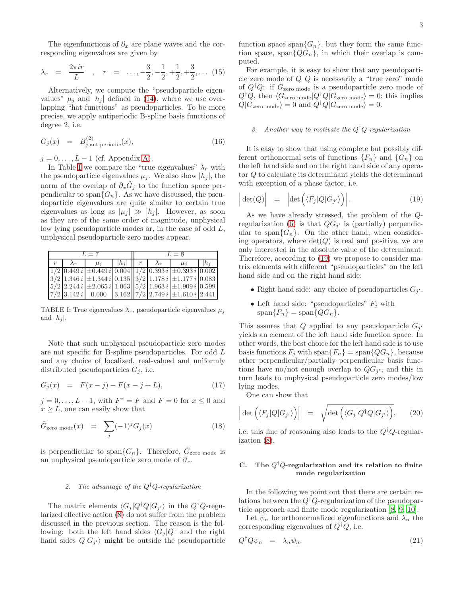The eigenfunctions of  $\partial_x$  are plane waves and the corresponding eigenvalues are given by

<span id="page-2-4"></span>
$$
\lambda_r = \frac{2\pi i r}{L}
$$
,  $r = \dots, -\frac{3}{2}, -\frac{1}{2}, +\frac{1}{2}, +\frac{3}{2}, \dots$  (15)

Alternatively, we compute the "pseudoparticle eigenvalues"  $\mu_j$  and  $|h_j|$  defined in [\(14\)](#page-1-1), where we use overlapping "hat functions" as pseudoparticles. To be more precise, we apply antiperiodic B-spline basis functions of degree 2, i.e.

$$
G_j(x) = B_{j,antiperiodic}^{(2)}(x), \tag{16}
$$

 $j = 0, \ldots, L-1$  (cf. Appendix [A\)](#page-9-2).

In Table [I](#page-2-1) we compare the "true eigenvalues"  $\lambda_r$  with the pseudoparticle eigenvalues  $\mu_j$ . We also show  $|h_j|$ , the norm of the overlap of  $\partial_x \tilde{G}_j$  to the function space perpendicular to span $\{G_n\}$ . As we have discussed, the pseudoparticle eigenvalues are quite similar to certain true eigenvalues as long as  $|\mu_i| \gg |h_i|$ . However, as soon as they are of the same order of magnitude, unphysical low lying pseudoparticle modes or, in the case of odd L, unphysical pseudoparticle zero modes appear.

| $L=7$ |  |         |         | $L=8$ |  |                                                                                                                                                                                                      |         |
|-------|--|---------|---------|-------|--|------------------------------------------------------------------------------------------------------------------------------------------------------------------------------------------------------|---------|
|       |  | $\mu_i$ | $ h_i $ |       |  | $\mu_i$                                                                                                                                                                                              | $ h_i $ |
|       |  |         |         |       |  | $1/2$ 0.449 i $\pm$ 0.449 i 0.004 $1/2$ 0.393 i $\pm$ 0.393 i 0.002                                                                                                                                  |         |
|       |  |         |         |       |  | $\left 3/2\right 1.346 i\left \pm1.344 i\right 0.135 \left \left 3/2\right 1.178 i\left \pm1.177 i\right 0.083\right $                                                                               |         |
|       |  |         |         |       |  | $\left  \frac{5}{2} \right  \left  \frac{2.244 i}{\pm 2.065 i} \right  \left  \frac{1.063}{\pm 1.963 i} \right  \left  \frac{1.963 i}{\pm 1.909 i} \right  \left  \frac{0.599}{\pm 0.599 i} \right $ |         |
|       |  |         |         |       |  | $\left 7/2\right 3.142 i\right $ 0.000 $\left 3.162\right \left 7/2\right 2.749 i\right \pm1.610 i\left 2.441\right $                                                                                |         |

<span id="page-2-1"></span>TABLE I: True eigenvalues  $\lambda_r$ , pseudoparticle eigenvalues  $\mu_i$ and  $|h_j|$ .

Note that such unphysical pseudoparticle zero modes are not specific for B-spline pseudoparticles. For odd L and any choice of localized, real-valued and uniformly distributed pseudoparticles  $G_j$ , i.e.

$$
G_j(x) = F(x - j) - F(x - j + L), \tag{17}
$$

 $j = 0, ..., L - 1$ , with  $F^* = F$  and  $F = 0$  for  $x \le 0$  and  $x \geq L$ , one can easily show that

$$
\tilde{G}_{\text{zero mode}}(x) = \sum_{j} (-1)^{j} G_{j}(x) \tag{18}
$$

is perpendicular to span $\{G_n\}$ . Therefore,  $\tilde{G}_{\text{zero mode}}$  is an unphysical pseudoparticle zero mode of  $\partial_x$ .

# 2. The advantage of the  $Q^{\dagger}Q$ -regularization

The matrix elements  $\langle G_j | Q^{\dagger} Q | G_{j'} \rangle$  in the  $Q^{\dagger} Q$ -regularized effective action [\(8\)](#page-1-2) do not suffer from the problem discussed in the previous section. The reason is the following: both the left hand sides  $\langle G_i | Q^{\dagger} \rangle$  and the right hand sides  $Q|G_{j'}\rangle$  might be outside the pseudoparticle function space span $\{G_n\}$ , but they form the same function space, span $\{QG_n\}$ , in which their overlap is computed.

For example, it is easy to show that any pseudoparticle zero mode of  $Q^{\dagger}Q$  is necessarily a "true zero" mode of  $Q^{\dagger}Q$ : if  $G_{\text{zero mode}}$  is a pseudoparticle zero mode of  $Q^{\dagger}Q$ , then  $\langle G_{\text{zero mode}} | Q^{\dagger}Q | G_{\text{zero mode}} \rangle = 0$ ; this implies  $Q|G_{\text{zero mode}}\rangle = 0$  and  $Q^{\dagger}Q|G_{\text{zero mode}}\rangle = 0$ .

# 3. Another way to motivate the  $Q^{\dagger}Q$ -regularization

It is easy to show that using complete but possibly different orthonormal sets of functions  ${F_n}$  and  ${G_n}$  on the left hand side and on the right hand side of any operator Q to calculate its determinant yields the determinant with exception of a phase factor, i.e.

<span id="page-2-2"></span>
$$
\left| \det(Q) \right| = \left| \det \left( \langle F_j | Q | G_{j'} \rangle \right) \right|.
$$
 (19)

As we have already stressed, the problem of the Q-regularization [\(6\)](#page-1-0) is that  $QG_{j'}$  is (partially) perpendicular to span ${G_n}$ . On the other hand, when considering operators, where  $\det(Q)$  is real and positive, we are only interested in the absolute value of the determinant. Therefore, according to [\(19\)](#page-2-2) we propose to consider matrix elements with different "pseudoparticles" on the left hand side and on the right hand side:

- Right hand side: any choice of pseudoparticles  $G_{j'}$ .
- Left hand side: "pseudoparticles"  $F_i$  with  $span{F_n} = span{QG_n}.$

This assures that Q applied to any pseudoparticle  $G_{j'}$ yields an element of the left hand side function space. In other words, the best choice for the left hand side is to use basis functions  $F_j$  with span $\{F_n\} = \text{span}\{QG_n\}$ , because other perpendicular/partially perpendicular basis functions have no/not enough overlap to  $QG_{j'}$ , and this in turn leads to unphysical pseudoparticle zero modes/low lying modes.

One can show that

$$
\left| \det \left( \langle F_j | Q | G_{j'} \rangle \right) \right| = \sqrt{\det \left( \langle G_j | Q^\dagger Q | G_{j'} \rangle \right)}, \quad (20)
$$

i.e. this line of reasoning also leads to the  $Q^{\dagger}Q$ -regularization [\(8\)](#page-1-2).

## <span id="page-2-0"></span>C. The  $Q^{\dagger}Q$ -regularization and its relation to finite mode regularization

In the following we point out that there are certain relations between the  $Q^{\dagger}Q$ -regularization of the pseudoparticle approach and finite mode regularization [\[8](#page-10-5), [9](#page-10-6), [10](#page-10-7)].

Let  $\psi_n$  be orthonormalized eigenfunctions and  $\lambda_n$  the corresponding eigenvalues of  $Q^{\dagger}Q$ , i.e.

<span id="page-2-3"></span>
$$
Q^{\dagger} Q \psi_n = \lambda_n \psi_n. \tag{21}
$$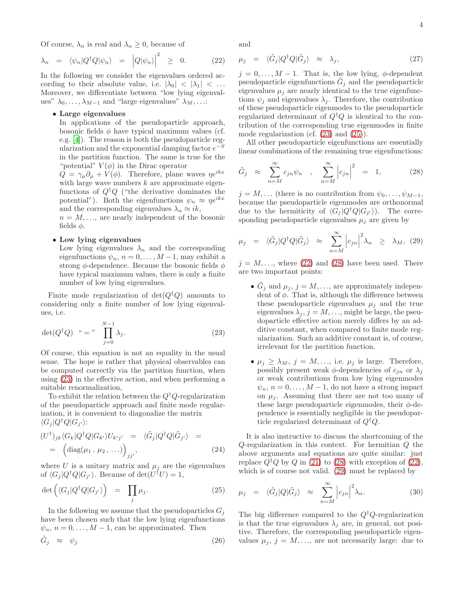Of course,  $\lambda_n$  is real and  $\lambda_n \geq 0$ , because of

<span id="page-3-2"></span>
$$
\lambda_n = \langle \psi_n | Q^\dagger Q | \psi_n \rangle = | Q | \psi_n \rangle |^2 \geq 0. \qquad (22)
$$

In the following we consider the eigenvalues ordered according to their absolute value, i.e.  $|\lambda_0| < |\lambda_1| < \dots$ Moreover, we differentiate between "low lying eigenvalues"  $\lambda_0, \ldots, \lambda_{M-1}$  and "large eigenvalues"  $\lambda_M, \ldots$ :

# • Large eigenvalues

In applications of the pseudoparticle approach, bosonic fields  $\phi$  have typical maximum values (cf. e.g. [\[4](#page-10-1)]). The reason is both the pseudoparticle regularization and the exponential damping factor  $e^{-S}$ in the partition function. The same is true for the "potential"  $V(\phi)$  in the Dirac operator

 $Q = \gamma_{\mu} \partial_{\mu} + V(\phi)$ . Therefore, plane waves  $\eta e^{ikx}$ with large wave numbers  $k$  are approximate eigenfunctions of  $Q^{\dagger}Q$  ("the derivative dominates the potential"). Both the eigenfunctions  $\psi_n \approx \eta e^{ikx}$ and the corresponding eigenvalues  $\lambda_n \approx i k$ ,

 $n = M, \ldots$ , are nearly independent of the bosonic fields  $\phi$ .

# • Low lying eigenvalues

Low lying eigenvalues  $\lambda_n$  and the corresponding eigenfunctions  $\psi_n$ ,  $n = 0, \ldots, M-1$ , may exhibit a strong  $\phi$ -dependence. Because the bosonic fields  $\phi$ have typical maximum values, there is only a finite number of low lying eigenvalues.

Finite mode regularization of  $det(Q^{\dagger}Q)$  amounts to considering only a finite number of low lying eigenvalues, i.e.

<span id="page-3-0"></span>
$$
\det(Q^{\dagger}Q) \quad \text{``} = \text{''} \quad \prod_{j=0}^{N-1} \lambda_j. \tag{23}
$$

Of course, this equation is not an equality in the usual sense. The hope is rather that physical observables can be computed correctly via the partition function, when using [\(23\)](#page-3-0) in the effective action, and when performing a suitable renormalization,

To exhibit the relation between the  $Q^{\dagger}Q$ -regularization of the pseudoparticle approach and finite mode regularization, it is convenient to diagonalize the matrix  $\langle G_j | Q^{\dagger} Q | G_{j'} \rangle$ :

<span id="page-3-5"></span>
$$
(U^{\dagger})_{jk} \langle G_k | Q^{\dagger} Q | G_{k'} \rangle U_{k'j'} = \langle \tilde{G}_j | Q^{\dagger} Q | \tilde{G}_{j'} \rangle =
$$
  
= 
$$
\left( \text{diag}(\mu_1, \mu_2, \ldots) \right)_{jj'},
$$
 (24)

where U is a unitary matrix and  $\mu_i$  are the eigenvalues of  $\langle G_j | Q^{\dagger} Q | G_{j'} \rangle$ . Because of det $(U^{\dagger} U) = 1$ ,

<span id="page-3-1"></span>
$$
\det\left(\langle G_j|Q^\dagger Q|G_{j'}\rangle\right) = \prod_j \mu_j. \tag{25}
$$

In the following we assume that the pseudoparticles  $G_i$ have been chosen such that the low lying eigenfunctions  $\psi_n$ ,  $n = 0, \ldots, M-1$ , can be approximated. Then

$$
\tilde{G}_j \approx \psi_j \tag{26}
$$

and

$$
\mu_j = \langle \tilde{G}_j | Q^\dagger Q | \tilde{G}_j \rangle \approx \lambda_j, \tag{27}
$$

 $j = 0, \ldots, M - 1$ . That is, the low lying,  $\phi$ -dependent pseudoparticle eigenfunctions  $\tilde{G}_j$  and the pseudoparticle eigenvalues  $\mu_j$  are nearly identical to the true eigenfunctions  $\psi_i$  and eigenvalues  $\lambda_i$ . Therefore, the contribution of these pseudoparticle eigenmodes to the pseudoparticle regularized determinant of  $Q^{\dagger}Q$  is identical to the contribution of the corresponding true eigenmodes in finite mode regularization (cf. [\(23\)](#page-3-0) and [\(25\)](#page-3-1)).

All other pseudoparticle eigenfunctions are essentially linear combinations of the remaining true eigenfunctions:

<span id="page-3-3"></span>
$$
\tilde{G}_j \approx \sum_{n=M}^{\infty} c_{jn} \psi_n \quad , \quad \sum_{n=M}^{\infty} \left| c_{jn} \right|^2 \quad = \quad 1, \tag{28}
$$

 $j = M, \ldots$  (there is no contribution from  $\psi_0, \ldots, \psi_{M-1}$ , because the pseudoparticle eigenmodes are orthonormal due to the hermiticity of  $\langle G_j | Q^{\dagger} Q | G_{j'} \rangle$ . The corresponding pseudoparticle eigenvalues  $\mu_i$  are given by

<span id="page-3-4"></span>
$$
\mu_j = \langle \tilde{G}_j | Q^\dagger Q | \tilde{G}_j \rangle \approx \sum_{n=M}^{\infty} \left| c_{jn} \right|^2 \lambda_n \ge \lambda_M, \tag{29}
$$

 $j = M, \ldots$ , where [\(22\)](#page-3-2) and [\(28\)](#page-3-3) have been used. There are two important points:

- $\tilde{G}_j$  and  $\mu_j$ ,  $j = M, \ldots$ , are approximately independent of  $\phi$ . That is, although the difference between these pseudoparticle eigenvalues  $\mu_i$  and the true eigenvalues  $\lambda_j$ ,  $j = M, \ldots$ , might be large, the pseudoparticle effective action merely differs by an additive constant, when compared to finite mode regularization. Such an additive constant is, of course, irrelevant for the partition function.
- $\mu_j \geq \lambda_M$ ,  $j = M, \ldots$ , i.e.  $\mu_j$  is large. Therefore, possibly present weak  $\phi$ -dependencies of  $c_{in}$  or  $\lambda_i$ or weak contributions from low lying eigenmodes  $\psi_n$ ,  $n = 0, \ldots, M-1$ , do not have a strong impact on  $\mu_i$ . Assuming that there are not too many of these large pseudoparticle eigenmodes, their  $\phi$ -dependence is essentially negligible in the pseudoparticle regularized determinant of  $Q^{\dagger}Q$ .

It is also instructive to discuss the shortcoming of the Q-regularization in this context. For hermitian Q the above arguments and equations are quite similar: just replace  $Q^{\dagger}Q$  by  $Q$  in [\(21\)](#page-2-3) to [\(28\)](#page-3-3) with exception of [\(22\)](#page-3-2), which is of course not valid. [\(29\)](#page-3-4) must be replaced by

$$
\mu_j = \langle \tilde{G}_j | Q | \tilde{G}_j \rangle \approx \sum_{n=M}^{\infty} \left| c_{jn} \right|^2 \lambda_n. \tag{30}
$$

The big difference compared to the  $Q^{\dagger}Q$ -regularization is that the true eigenvalues  $\lambda_i$  are, in general, not positive. Therefore, the corresponding pseudoparticle eigenvalues  $\mu_j, j = M, \ldots$ , are not necessarily large: due to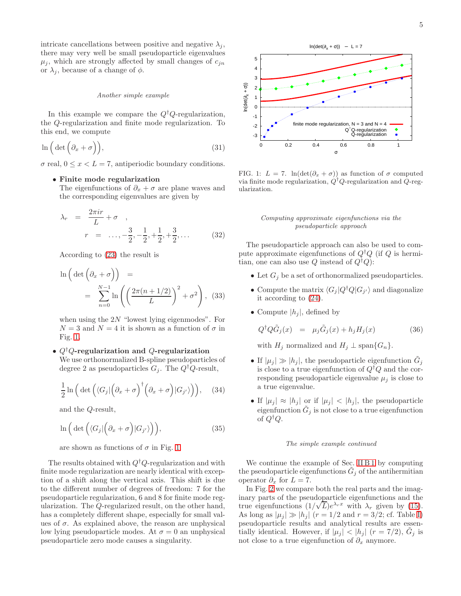intricate cancellations between positive and negative  $\lambda_i$ , there may very well be small pseudoparticle eigenvalues  $\mu_j$ , which are strongly affected by small changes of  $c_{jn}$ or  $\lambda_j$ , because of a change of  $\phi$ .

#### Another simple example

In this example we compare the  $Q^{\dagger}Q$ -regularization, the Q-regularization and finite mode regularization. To this end, we compute

$$
\ln\left(\det\left(\partial_x+\sigma\right)\right),\tag{31}
$$

 $\sigma$  real,  $0 \leq x < L = 7$ , antiperiodic boundary conditions.

# • Finite mode regularization

The eigenfunctions of  $\partial_x + \sigma$  are plane waves and the corresponding eigenvalues are given by

$$
\lambda_r = \frac{2\pi ir}{L} + \sigma ,
$$
  
\n
$$
r = \dots, -\frac{3}{2}, -\frac{1}{2}, +\frac{1}{2}, +\frac{3}{2}, \dots
$$
 (32)

According to [\(23\)](#page-3-0) the result is

$$
\ln\left(\det\left(\partial_x + \sigma\right)\right) =
$$
  
= 
$$
\sum_{n=0}^{N-1} \ln\left(\left(\frac{2\pi(n+1/2)}{L}\right)^2 + \sigma^2\right), (33)
$$

when using the  $2N$  "lowest lying eigenmodes". For  $N = 3$  and  $N = 4$  it is shown as a function of  $\sigma$  in Fig. [1.](#page-4-0)

# •  $Q^{\dagger}Q$ -regularization and  $Q$ -regularization We use orthonormalized B-spline pseudoparticles of

degree 2 as pseudoparticles  $G_j$ . The  $Q^{\dagger}Q$ -result,

$$
\frac{1}{2}\ln\Big(\det\Big(\langle G_j|\Big(\partial_x+\sigma\Big)^{\dagger}\Big(\partial_x+\sigma\Big)|G_{j'}\rangle\Big)\Big),\quad(34)
$$

and the Q-result,

$$
\ln\Big(\det\Big(\langle G_j|\Big(\partial_x+\sigma\Big)|G_{j'}\rangle\Big)\Big),\tag{35}
$$

are shown as functions of  $\sigma$  in Fig. [1.](#page-4-0)

The results obtained with  $Q^{\dagger}Q$ -regularization and with finite mode regularization are nearly identical with exception of a shift along the vertical axis. This shift is due to the different number of degrees of freedom: 7 for the pseudoparticle regularization, 6 and 8 for finite mode regularization. The Q-regularized result, on the other hand, has a completely different shape, especially for small values of  $\sigma$ . As explained above, the reason are unphysical low lying pseudoparticle modes. At  $\sigma = 0$  an unphysical pseudoparticle zero mode causes a singularity.



<span id="page-4-0"></span>FIG. 1:  $L = 7$ . ln(det( $\partial_x + \sigma$ )) as function of  $\sigma$  computed via finite mode regularization,  $Q^{\dagger}Q$ -regularization and  $Q$ -regularization.

## Computing approximate eigenfunctions via the pseudoparticle approach

The pseudoparticle approach can also be used to compute approximate eigenfunctions of  $Q^{\dagger}Q$  (if Q is hermitian, one can also use Q instead of  $Q^{\dagger}Q$ :

- Let  $G_i$  be a set of orthonormalized pseudoparticles.
- Compute the matrix  $\langle G_j | Q^{\dagger} Q | G_{j'} \rangle$  and diagonalize it according to [\(24\)](#page-3-5).
- Compute  $|h_i|$ , defined by

$$
Q^{\dagger} Q \tilde{G}_j(x) = \mu_j \tilde{G}_j(x) + h_j H_j(x) \tag{36}
$$

with  $H_j$  normalized and  $H_j \perp \text{span}\{G_n\}.$ 

- If  $|\mu_j| \gg |h_j|$ , the pseudoparticle eigenfunction  $\tilde{G}_j$ is close to a true eigenfunction of  $Q^{\dagger}Q$  and the corresponding pseudoparticle eigenvalue  $\mu_j$  is close to a true eigenvalue.
- If  $|\mu_j| \approx |h_j|$  or if  $|\mu_j| < |h_j|$ , the pseudoparticle eigenfunction  $\tilde{G}_j$  is not close to a true eigenfunction of  $Q^{\dagger}Q$ .

### The simple example continued

We continue the example of Sec. [II B 1](#page-1-3) by computing the pseudoparticle eigenfunctions  $\tilde{G}_j$  of the antihermitian operator  $\partial_x$  for  $L = 7$ .

In Fig. [2](#page-5-2) we compare both the real parts and the imaginary parts of the pseudoparticle eigenfunctions and the true eigenfunctions  $(1/\sqrt{L})e^{\lambda_r x}$  with  $\lambda_r$  given by [\(15\)](#page-2-4). As long as  $|\mu_j| \gg |h_j|$   $(r = 1/2$  and  $r = 3/2$ ; cf. Table [I\)](#page-2-1) pseudoparticle results and analytical results are essentially identical. However, if  $|\mu_j| < |h_j|$   $(r = 7/2)$ ,  $\tilde{G}_j$  is not close to a true eigenfunction of  $\partial_x$  anymore.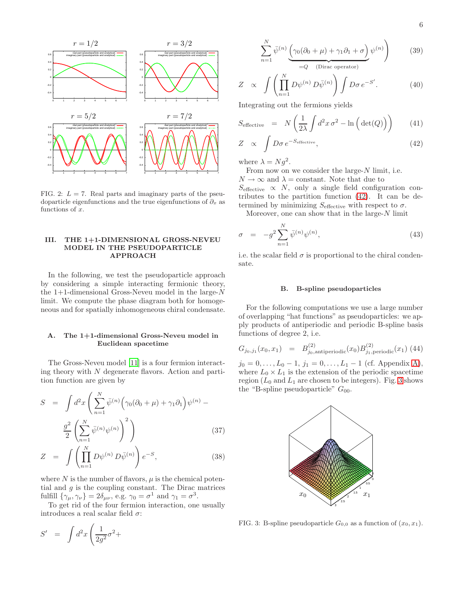

<span id="page-5-2"></span>FIG. 2:  $L = 7$ . Real parts and imaginary parts of the pseudoparticle eigenfunctions and the true eigenfunctions of  $\partial_x$  as functions of  $x$ .

### <span id="page-5-0"></span>III. THE 1+1-DIMENSIONAL GROSS-NEVEU MODEL IN THE PSEUDOPARTICLE APPROACH

In the following, we test the pseudoparticle approach by considering a simple interacting fermionic theory, the 1+1-dimensional Gross-Neveu model in the large- $N$ limit. We compute the phase diagram both for homogeneous and for spatially inhomogeneous chiral condensate.

# <span id="page-5-1"></span>A. The 1+1-dimensional Gross-Neveu model in Euclidean spacetime

The Gross-Neveu model [\[11](#page-10-8)] is a four fermion interacting theory with  $N$  degenerate flavors. Action and partition function are given by

$$
S = \int d^2x \left( \sum_{n=1}^N \bar{\psi}^{(n)} \left( \gamma_0 (\partial_0 + \mu) + \gamma_1 \partial_1 \right) \psi^{(n)} - \frac{g^2}{2} \left( \sum_{n=1}^N \bar{\psi}^{(n)} \psi^{(n)} \right)^2 \right)
$$
(37)

$$
Z = \int \left( \prod_{n=1}^{N} D\psi^{(n)} D\bar{\psi}^{(n)} \right) e^{-S}, \qquad (38)
$$

where  $N$  is the number of flavors,  $\mu$  is the chemical potential and  $g$  is the coupling constant. The Dirac matrices fulfill  $\{\gamma_{\mu}, \gamma_{\nu}\} = 2\delta_{\mu\nu}$ , e.g.  $\gamma_0 = \sigma^1$  and  $\gamma_1 = \sigma^3$ .

To get rid of the four fermion interaction, one usually introduces a real scalar field  $\sigma$ :

$$
\sum_{n=1}^{N} \bar{\psi}^{(n)} \underbrace{\left(\gamma_0 (\partial_0 + \mu) + \gamma_1 \partial_1 + \sigma\right)}_{=Q \quad \text{(Dirac operator)}} \psi^{(n)} \right) \tag{39}
$$

$$
Z \propto \int \left( \prod_{n=1}^{N} D\psi^{(n)} D\bar{\psi}^{(n)} \right) \int D\sigma \, e^{-S'}.
$$
 (40)

Integrating out the fermions yields

<span id="page-5-3"></span>
$$
S_{\text{effective}} = N \left( \frac{1}{2\lambda} \int d^2 x \,\sigma^2 - \ln \left( \det(Q) \right) \right) \tag{41}
$$

$$
Z \propto \int D\sigma \, e^{-S_{\text{effective}}}, \tag{42}
$$

where  $\lambda = Ng^2$ .

From now on we consider the large- $N$  limit, i.e.  $N\rightarrow\infty$  and  $\lambda=$  constant. Note that due to  $S_{\text{effective}} \propto N$ , only a single field configuration contributes to the partition function [\(42\)](#page-5-3). It can be determined by minimizing  $S_{\text{effective}}$  with respect to  $\sigma$ .

Moreover, one can show that in the large-N limit

$$
\sigma = -g^2 \sum_{n=1}^{N} \bar{\psi}^{(n)} \psi^{(n)}, \qquad (43)
$$

i.e. the scalar field  $\sigma$  is proportional to the chiral condensate.

## B. B-spline pseudoparticles

For the following computations we use a large number of overlapping "hat functions" as pseudoparticles: we apply products of antiperiodic and periodic B-spline basis functions of degree 2, i.e.

$$
G_{j_0,j_1}(x_0,x_1) = B_{j_0,\text{antiperiodic}}^{(2)}(x_0)B_{j_1,\text{periodic}}^{(2)}(x_1)
$$
(44)

 $j_0 = 0, \ldots, L_0 - 1, j_1 = 0, \ldots, L_1 - 1$  (cf. Appendix [A\)](#page-9-2), where  $L_0 \times L_1$  is the extension of the periodic spacetime region  $(L_0$  and  $L_1$  are chosen to be integers). Fig. [3](#page-5-4) shows the "B-spline pseudoparticle"  $G_{00}$ .



<span id="page-5-4"></span>FIG. 3: B-spline pseudoparticle  $G_{0,0}$  as a function of  $(x_0, x_1)$ .

$$
S' \quad = \quad \int d^2x \left( \frac{1}{2g^2} \sigma^2 + \right.
$$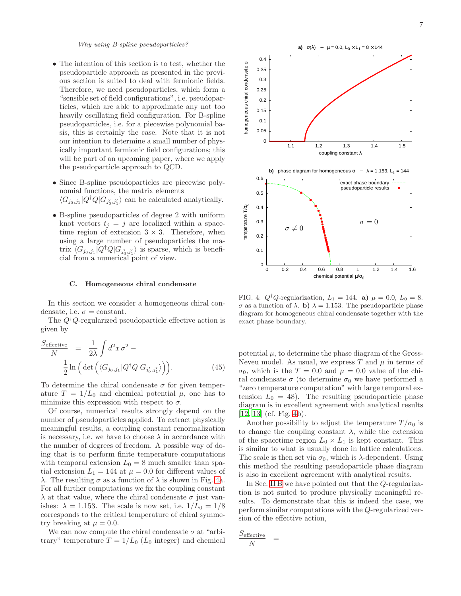Why using B-spline pseudoparticles?

- The intention of this section is to test, whether the pseudoparticle approach as presented in the previous section is suited to deal with fermionic fields. Therefore, we need pseudoparticles, which form a "sensible set of field configurations", i.e. pseudoparticles, which are able to approximate any not too heavily oscillating field configuration. For B-spline pseudoparticles, i.e. for a piecewise polynomial basis, this is certainly the case. Note that it is not our intention to determine a small number of physically important fermionic field configurations; this will be part of an upcoming paper, where we apply the pseudoparticle approach to QCD.
- Since B-spline pseudoparticles are piecewise polynomial functions, the matrix elements  $\langle G_{j_0,j_1}|Q^{\dagger}Q|G_{j'_0,j'_1}\rangle$  can be calculated analytically.
- B-spline pseudoparticles of degree 2 with uniform knot vectors  $t_j = j$  are localized within a spacetime region of extension  $3 \times 3$ . Therefore, when using a large number of pseudoparticles the matrix  $\langle G_{j_0,j_1} | Q^{\dagger} Q | G_{j'_0,j'_1} \rangle$  is sparse, which is beneficial from a numerical point of view.

### <span id="page-6-0"></span>C. Homogeneous chiral condensate

In this section we consider a homogeneous chiral condensate, i.e.  $\sigma = constant$ .

The  $Q^{\dagger}Q$ -regularized pseudoparticle effective action is given by

<span id="page-6-2"></span>
$$
\frac{S_{\text{effective}}}{N} = \frac{1}{2\lambda} \int d^2x \,\sigma^2 - \frac{1}{2} \ln \left( \det \left( \langle G_{j_0,j_1} | Q^\dagger Q | G_{j'_0,j'_1} \rangle \right) \right).
$$
\n(45)

To determine the chiral condensate  $\sigma$  for given temperature  $T = 1/L_0$  and chemical potential  $\mu$ , one has to minimize this expression with respect to  $\sigma$ .

Of course, numerical results strongly depend on the number of pseudoparticles applied. To extract physically meaningful results, a coupling constant renormalization is necessary, i.e. we have to choose  $\lambda$  in accordance with the number of degrees of freedom. A possible way of doing that is to perform finite temperature computations with temporal extension  $L_0 = 8$  much smaller than spatial extension  $L_1 = 144$  at  $\mu = 0.0$  for different values of λ. The resulting  $\sigma$  as a function of  $\lambda$  is shown in Fig. [4a](#page-6-1). For all further computations we fix the coupling constant  $\lambda$  at that value, where the chiral condensate  $\sigma$  just vanishes:  $\lambda = 1.153$ . The scale is now set, i.e.  $1/L_0 = 1/8$ corresponds to the critical temperature of chiral symmetry breaking at  $\mu = 0.0$ .

We can now compute the chiral condensate  $\sigma$  at "arbitrary" temperature  $T = 1/L_0$  ( $L_0$  integer) and chemical



<span id="page-6-1"></span>FIG. 4:  $Q^{\dagger}Q$ -regularization,  $L_1 = 144$ . **a**)  $\mu = 0.0, L_0 = 8$ . σ as a function of  $\lambda$ . b)  $\lambda = 1.153$ . The pseudoparticle phase diagram for homogeneous chiral condensate together with the exact phase boundary.

potential  $\mu$ , to determine the phase diagram of the Gross-Neveu model. As usual, we express  $T$  and  $\mu$  in terms of  $\sigma_0$ , which is the  $T = 0.0$  and  $\mu = 0.0$  value of the chiral condensate  $\sigma$  (to determine  $\sigma_0$  we have performed a "zero temperature computation" with large temporal extension  $L_0 = 48$ ). The resulting pseudoparticle phase diagram is in excellent agreement with analytical results [\[12,](#page-10-9) [13\]](#page-10-10) (cf. Fig. [4b](#page-6-1)).

Another possibility to adjust the temperature  $T/\sigma_0$  is to change the coupling constant  $\lambda$ , while the extension of the spacetime region  $L_0 \times L_1$  is kept constant. This is similar to what is usually done in lattice calculations. The scale is then set via  $\sigma_0$ , which is  $\lambda$ -dependent. Using this method the resulting pseudoparticle phase diagram is also in excellent agreement with analytical results.

In Sec. [II B](#page-1-4) we have pointed out that the Q-regularization is not suited to produce physically meaningful results. To demonstrate that this is indeed the case, we perform similar computations with the Q-regularized version of the effective action,

$$
\frac{S_{\rm effective}}{N} \ \ =
$$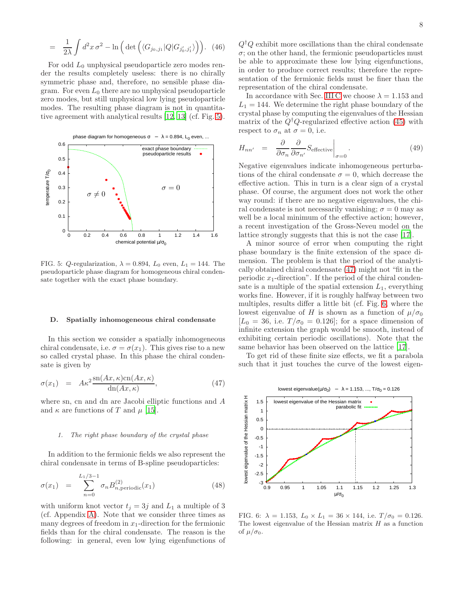$$
= \frac{1}{2\lambda} \int d^2x \,\sigma^2 - \ln\left(\det\left(\langle G_{j_0,j_1} | Q | G_{j'_0,j'_1} \rangle\right)\right).
$$
 (46)

For odd  $L_0$  unphysical pseudoparticle zero modes render the results completely useless: there is no chirally symmetric phase and, therefore, no sensible phase diagram. For even  $L_0$  there are no unphysical pseudoparticle zero modes, but still unphysical low lying pseudoparticle modes. The resulting phase diagram is not in quantitative agreement with analytical results [\[12,](#page-10-9) [13\]](#page-10-10) (cf. Fig. [5\)](#page-7-0).



<span id="page-7-0"></span>FIG. 5: Q-regularization,  $\lambda = 0.894$ ,  $L_0$  even,  $L_1 = 144$ . The pseudoparticle phase diagram for homogeneous chiral condensate together with the exact phase boundary.

#### D. Spatially inhomogeneous chiral condensate

In this section we consider a spatially inhomogeneous chiral condensate, i.e.  $\sigma = \sigma(x_1)$ . This gives rise to a new so called crystal phase. In this phase the chiral condensate is given by

<span id="page-7-1"></span>
$$
\sigma(x_1) = A\kappa^2 \frac{\text{sn}(Ax, \kappa)\text{cn}(Ax, \kappa)}{\text{dn}(Ax, \kappa)},
$$
\n(47)

where sn, cn and dn are Jacobi elliptic functions and A and  $\kappa$  are functions of T and  $\mu$  [\[15](#page-10-12)].

#### 1. The right phase boundary of the crystal phase

In addition to the fermionic fields we also represent the chiral condensate in terms of B-spline pseudoparticles:

$$
\sigma(x_1) = \sum_{n=0}^{L_1/3 - 1} \sigma_n B_{n,\text{periodic}}^{(2)}(x_1) \tag{48}
$$

with uniform knot vector  $t_j = 3j$  and  $L_1$  a multiple of 3 (cf. Appendix [A\)](#page-9-2). Note that we consider three times as many degrees of freedom in  $x_1$ -direction for the fermionic fields than for the chiral condensate. The reason is the following: in general, even low lying eigenfunctions of

 $Q^{\dagger}Q$  exhibit more oscillations than the chiral condensate  $\sigma$ ; on the other hand, the fermionic pseudoparticles must be able to approximate these low lying eigenfunctions, in order to produce correct results; therefore the representation of the fermionic fields must be finer than the representation of the chiral condensate.

In accordance with Sec. [III C](#page-6-0) we choose  $\lambda = 1.153$  and  $L_1 = 144$ . We determine the right phase boundary of the crystal phase by computing the eigenvalues of the Hessian matrix of the  $Q^{\dagger}Q$ -regularized effective action [\(45\)](#page-6-2) with respect to  $\sigma_n$  at  $\sigma = 0$ , i.e.

$$
H_{nn'} = \frac{\partial}{\partial \sigma_n} \frac{\partial}{\partial \sigma_{n'}} S_{\text{effective}} \bigg|_{\sigma=0}.
$$
 (49)

Negative eigenvalues indicate inhomogeneous perturbations of the chiral condensate  $\sigma = 0$ , which decrease the effective action. This in turn is a clear sign of a crystal phase. Of course, the argument does not work the other way round: if there are no negative eigenvalues, the chiral condensate is not necessarily vanishing;  $\sigma = 0$  may as well be a local minimum of the effective action; however, a recent investigation of the Gross-Neveu model on the lattice strongly suggests that this is not the case [\[17\]](#page-10-14).

A minor source of error when computing the right phase boundary is the finite extension of the space dimension. The problem is that the period of the analytically obtained chiral condensate [\(47\)](#page-7-1) might not "fit in the periodic  $x_1$ -direction". If the period of the chiral condensate is a multiple of the spatial extension  $L_1$ , everything works fine. However, if it is roughly halfway between two multiples, results differ a little bit (cf. Fig. [6,](#page-7-2) where the lowest eigenvalue of H is shown as a function of  $\mu/\sigma_0$  $[L_0 = 36, i.e. T/\sigma_0 = 0.126]$ ; for a space dimension of infinite extension the graph would be smooth, instead of exhibiting certain periodic oscillations). Note that the same behavior has been observed on the lattice [\[17](#page-10-14)].

To get rid of these finite size effects, we fit a parabola such that it just touches the curve of the lowest eigen-



<span id="page-7-2"></span>FIG. 6:  $\lambda = 1.153$ ,  $L_0 \times L_1 = 36 \times 144$ , i.e.  $T/\sigma_0 = 0.126$ . The lowest eigenvalue of the Hessian matrix  $H$  as a function of  $\mu/\sigma_0$ .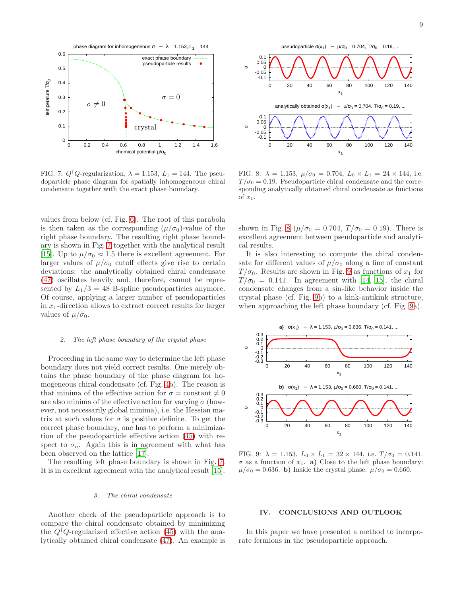

<span id="page-8-1"></span>FIG. 7:  $Q^{\dagger}Q$ -regularization,  $\lambda = 1.153, L_1 = 144$ . The pseudoparticle phase diagram for spatially inhomogeneous chiral condensate together with the exact phase boundary.

values from below (cf. Fig. [6\)](#page-7-2). The root of this parabola is then taken as the corresponding  $(\mu/\sigma_0)$ -value of the right phase boundary. The resulting right phase boundary is shown in Fig. [7](#page-8-1) together with the analytical result [\[15\]](#page-10-12). Up to  $\mu/\sigma_0 \approx 1.5$  there is excellent agreement. For larger values of  $\mu/\sigma_0$  cutoff effects give rise to certain deviations: the analytically obtained chiral condensate [\(47\)](#page-7-1) oscillates heavily and, therefore, cannot be represented by  $L_1/3 = 48$  B-spline pseudoparticles anymore. Of course, applying a larger number of pseudoparticles in  $x_1$ -direction allows to extract correct results for larger values of  $\mu/\sigma_0$ .

### 2. The left phase boundary of the crystal phase

Proceeding in the same way to determine the left phase boundary does not yield correct results. One merely obtains the phase boundary of the phase diagram for homogeneous chiral condensate (cf. Fig. [4b](#page-6-1)). The reason is that minima of the effective action for  $\sigma = \text{constant} \neq 0$ are also minima of the effective action for varying  $\sigma$  (however, not necessarily global minima), i.e. the Hessian matrix at such values for  $\sigma$  is positive definite. To get the correct phase boundary, one has to perform a minimization of the pseudoparticle effective action [\(45\)](#page-6-2) with respect to  $\sigma_n$ . Again this is in agreement with what has been observed on the lattice [\[17\]](#page-10-14).

The resulting left phase boundary is shown in Fig. [7.](#page-8-1) It is in excellent agreement with the analytical result [\[15\]](#page-10-12).

### 3. The chiral condensate

Another check of the pseudoparticle approach is to compare the chiral condensate obtained by minimizing the  $Q^{\dagger}Q$ -regularized effective action [\(45\)](#page-6-2) with the analytically obtained chiral condensate [\(47\)](#page-7-1). An example is



<span id="page-8-2"></span>FIG. 8:  $\lambda = 1.153$ ,  $\mu/\sigma_0 = 0.704$ ,  $L_0 \times L_1 = 24 \times 144$ , i.e.  $T/\sigma_0 = 0.19$ . Pseudoparticle chiral condensate and the corresponding analytically obtained chiral condensate as functions of  $x_1$ .

shown in Fig. [8](#page-8-2) ( $\mu/\sigma_0 = 0.704$ ,  $T/\sigma_0 = 0.19$ ). There is excellent agreement between pseudoparticle and analytical results.

It is also interesting to compute the chiral condensate for different values of  $\mu/\sigma_0$  along a line of constant  $T/\sigma_0$ . Results are shown in Fig. [9](#page-8-3) as functions of  $x_1$  for  $T/\sigma_0 = 0.141$ . In agreement with [\[14](#page-10-11), [15\]](#page-10-12), the chiral condensate changes from a sin-like behavior inside the crystal phase (cf. Fig. [9b](#page-8-3)) to a kink-antikink structure, when approaching the left phase boundary (cf. Fig. [9a](#page-8-3)).



<span id="page-8-3"></span>FIG. 9:  $\lambda = 1.153$ ,  $L_0 \times L_1 = 32 \times 144$ , i.e.  $T/\sigma_0 = 0.141$ .  $\sigma$  as a function of  $x_1$ . a) Close to the left phase boundary:  $\mu/\sigma_0 = 0.636$ . b) Inside the crystal phase:  $\mu/\sigma_0 = 0.660$ .

### <span id="page-8-0"></span>IV. CONCLUSIONS AND OUTLOOK

In this paper we have presented a method to incorporate fermions in the pseudoparticle approach.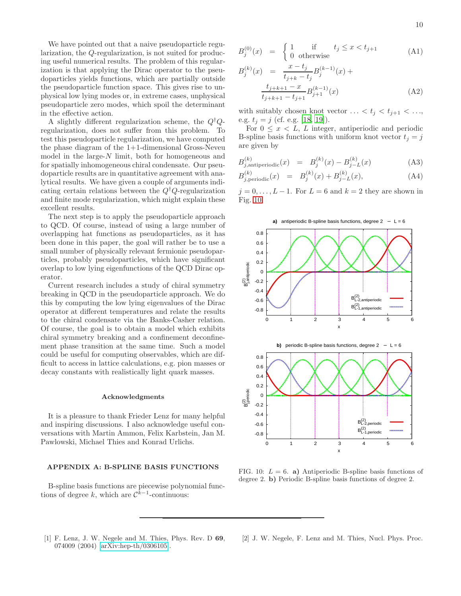We have pointed out that a naive pseudoparticle regularization, the Q-regularization, is not suited for producing useful numerical results. The problem of this regularization is that applying the Dirac operator to the pseudoparticles yields functions, which are partially outside the pseudoparticle function space. This gives rise to unphysical low lying modes or, in extreme cases, unphysical pseudoparticle zero modes, which spoil the determinant in the effective action.

A slightly different regularization scheme, the  $Q^{\dagger}Q$ regularization, does not suffer from this problem. To test this pseudoparticle regularization, we have computed the phase diagram of the 1+1-dimensional Gross-Neveu model in the large- $N$  limit, both for homogeneous and for spatially inhomogeneous chiral condensate. Our pseudoparticle results are in quantitative agreement with analytical results. We have given a couple of arguments indicating certain relations between the  $Q^{\dagger}Q$ -regularization and finite mode regularization, which might explain these excellent results.

The next step is to apply the pseudoparticle approach to QCD. Of course, instead of using a large number of overlapping hat functions as pseudoparticles, as it has been done in this paper, the goal will rather be to use a small number of physically relevant fermionic pseudoparticles, probably pseudoparticles, which have significant overlap to low lying eigenfunctions of the QCD Dirac operator.

Current research includes a study of chiral symmetry breaking in QCD in the pseudoparticle approach. We do this by computing the low lying eigenvalues of the Dirac operator at different temperatures and relate the results to the chiral condensate via the Banks-Casher relation. Of course, the goal is to obtain a model which exhibits chiral symmetry breaking and a confinement deconfinement phase transition at the same time. Such a model could be useful for computing observables, which are difficult to access in lattice calculations, e.g. pion masses or decay constants with realistically light quark masses.

#### Acknowledgments

It is a pleasure to thank Frieder Lenz for many helpful and inspiring discussions. I also acknowledge useful conversations with Martin Ammon, Felix Karbstein, Jan M. Pawlowski, Michael Thies and Konrad Urlichs.

## <span id="page-9-2"></span>APPENDIX A: B-SPLINE BASIS FUNCTIONS

B-spline basis functions are piecewise polynomial functions of degree k, which are  $\mathcal{C}^{k-1}$ -continuous:

$$
B_j^{(0)}(x) = \begin{cases} 1 & \text{if } t_j \le x < t_{j+1} \\ 0 & \text{otherwise} \end{cases}
$$
 (A1)

$$
B_j^{(k)}(x) = \frac{x - t_j}{t_{j+k} - t_j} B_j^{(k-1)}(x) +
$$

$$
\frac{t_{j+k+1} - x}{t_{j+k+1} - t_{j+1}} B_{j+1}^{(k-1)}(x)
$$
(A2)

with suitably chosen knot vector  $\ldots < t_j < t_{j+1} < \ldots$ , e.g.  $t_j = j$  (cf. e.g. [\[18,](#page-10-15) [19\]](#page-10-16)).

For  $0 \leq x \leq L$ , L integer, antiperiodic and periodic B-spline basis functions with uniform knot vector  $t_i = j$ are given by

$$
B_{j,antiperiodic}^{(k)}(x) = B_j^{(k)}(x) - B_{j-L}^{(k)}(x)
$$
 (A3)

$$
B_{j,periodic}^{(k)}(x) = B_j^{(k)}(x) + B_{j-L}^{(k)}(x), \tag{A4}
$$

 $j = 0, \ldots, L - 1$ . For  $L = 6$  and  $k = 2$  they are shown in Fig. [10.](#page-9-3)



<span id="page-9-3"></span>FIG. 10:  $L = 6$ . a) Antiperiodic B-spline basis functions of degree 2. b) Periodic B-spline basis functions of degree 2.

<span id="page-9-0"></span>[1] F. Lenz, J. W. Negele and M. Thies, Phys. Rev. D 69, 074009 (2004) [\[arXiv:hep-th/0306105\]](http://arXiv.org/abs/hep-th/0306105).

<span id="page-9-1"></span>[2] J. W. Negele, F. Lenz and M. Thies, Nucl. Phys. Proc.